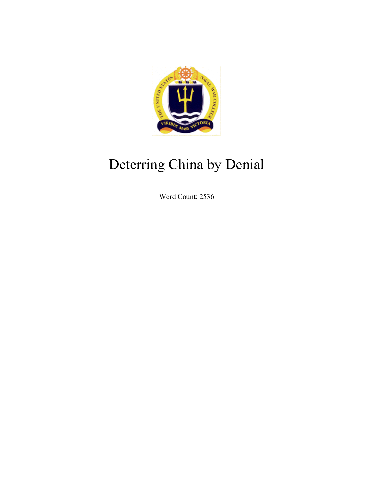

# Deterring China by Denial

Word Count: 2536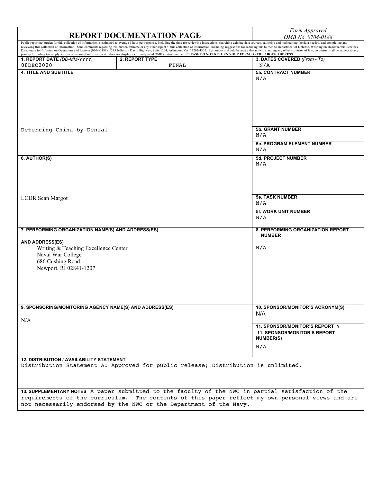## **REPORT DOCUMENTATION PAGE** *Form Approved Form Approved CMB No. 0704-01.*

*OMB No. 0704-0188*

Public reporting burden for this collection of information is estimated to average 1 hour per response, including the time for reviewing instructions, searching existing data sources, gathering and maintaining the data nee **1. REPORT DATE** *(DD-MM-YYYY)* 2. 08DEC2020 **2. REPORT TYPE** FINAL **3. DATES COVERED** *(From - To)* N/A **4. TITLE AND SUBTITLE 5a. CONTRACT NUMBER** N/A Deterring China by Denial **5b. GRANT NUMBER** N/A **5c. PROGRAM ELEMENT NUMBER** N/A **6. AUTHOR(S) 5d. PROJECT NUMBER** N/A LCDR Sean Margot **5e. TASK NUMBER** N/A **5f. WORK UNIT NUMBER** N/A **7. PERFORMING ORGANIZATION NAME(S) AND ADDRESS(ES) AND ADDRESS(ES) 8. PERFORMING ORGANIZATION REPORT NUMBER** Writing & Teaching Excellence Center Naval War College 686 Cushing Road Newport, RI 02841-1207 N/A **9. SPONSORING/MONITORING AGENCY NAME(S) AND ADDRESS(ES)** N/A **10. SPONSOR/MONITOR'S ACRONYM(S)**  N/A **11. SPONSOR/MONITOR'S REPORT N 11. SPONSOR/MONITOR'S REPORT NUMBER(S)** N/A **12. DISTRIBUTION / AVAILABILITY STATEMENT** Distribution Statement A: Approved for public release; Distribution is unlimited. **13. SUPPLEMENTARY NOTES** A paper submitted to the faculty of the NWC in partial satisfaction of the requirements of the curriculum. The contents of this paper reflect my own personal views and are not necessarily endorsed by the NWC or the Department of the Navy.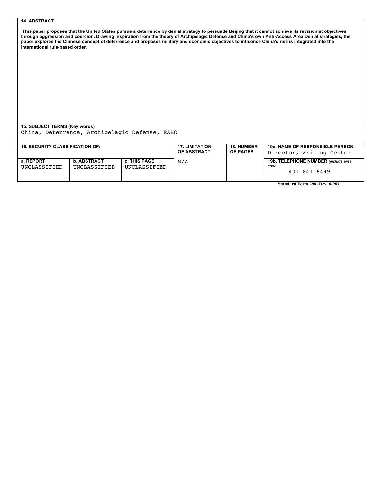#### **14. ABSTRACT**

**This paper proposes that the United States pursue a deterrence by denial strategy to persuade Beijing that it cannot achieve its revisionist objectives through aggression and coercion. Drawing inspiration from the theory of Archipelagic Defense and China's own Anti-Access Area Denial strategies, the**  paper explores the Chinese concept of deterrence and proposes military and economic objectives to influence China's rise is integrated into the **international rule-based order.**

### **15. SUBJECT TERMS (Key words)**

China, Deterrence, Archipelagic Defense, EABO

| <b>16. SECURITY CLASSIFICATION OF:</b> |                                    |                              | <b>17. LIMITATION</b> | <b>18. NUMBER</b> | <b>19a. NAME OF RESPONSIBLE PERSON</b>                             |
|----------------------------------------|------------------------------------|------------------------------|-----------------------|-------------------|--------------------------------------------------------------------|
|                                        |                                    |                              | <b>OF ABSTRACT</b>    | <b>OF PAGES</b>   | Director, Writing Center                                           |
| a. REPORT<br>UNCLASSIFIED              | <b>b. ABSTRACT</b><br>UNCLASSIFIED | c. THIS PAGE<br>UNCLASSIFIED | N/A                   |                   | 19b. TELEPHONE NUMBER (include area<br>code)<br>$401 - 841 - 6499$ |

**Standard Form 298 (Rev. 8-98)**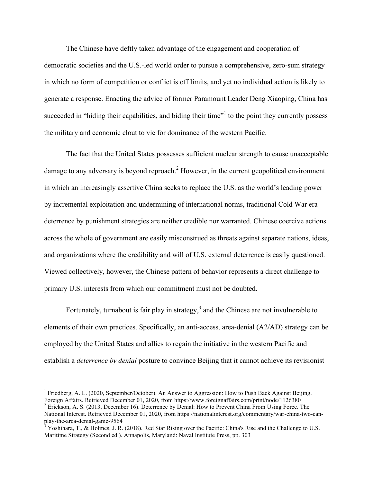The Chinese have deftly taken advantage of the engagement and cooperation of democratic societies and the U.S.-led world order to pursue a comprehensive, zero-sum strategy in which no form of competition or conflict is off limits, and yet no individual action is likely to generate a response. Enacting the advice of former Paramount Leader Deng Xiaoping, China has succeeded in "hiding their capabilities, and biding their time"<sup>1</sup> to the point they currently possess the military and economic clout to vie for dominance of the western Pacific.

The fact that the United States possesses sufficient nuclear strength to cause unacceptable damage to any adversary is beyond reproach.<sup>2</sup> However, in the current geopolitical environment in which an increasingly assertive China seeks to replace the U.S. as the world's leading power by incremental exploitation and undermining of international norms, traditional Cold War era deterrence by punishment strategies are neither credible nor warranted. Chinese coercive actions across the whole of government are easily misconstrued as threats against separate nations, ideas, and organizations where the credibility and will of U.S. external deterrence is easily questioned. Viewed collectively, however, the Chinese pattern of behavior represents a direct challenge to primary U.S. interests from which our commitment must not be doubted.

Fortunately, turnabout is fair play in strategy, $3$  and the Chinese are not invulnerable to elements of their own practices. Specifically, an anti-access, area-denial (A2/AD) strategy can be employed by the United States and allies to regain the initiative in the western Pacific and establish a *deterrence by denial* posture to convince Beijing that it cannot achieve its revisionist

 

<sup>&</sup>lt;sup>1</sup> Friedberg, A. L. (2020, September/October). An Answer to Aggression: How to Push Back Against Beijing.

Foreign Affairs. Retrieved December 01, 2020, from https://www.foreignaffairs.com/print/node/1126380<br><sup>2</sup> Erickson, A. S. (2013, December 16). Deterrence by Denial: How to Prevent China From Using Force. The National Interest. Retrieved December 01, 2020, from https://nationalinterest.org/commentary/war-china-two-can-<br>play-the-area-denial-game-9564

Yoshihara, T., & Holmes, J. R. (2018). Red Star Rising over the Pacific: China's Rise and the Challenge to U.S. Maritime Strategy (Second ed.). Annapolis, Maryland: Naval Institute Press, pp. 303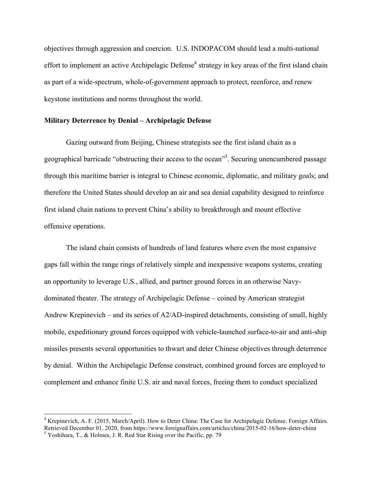objectives through aggression and coercion. U.S. INDOPACOM should lead a multi-national effort to implement an active Archipelagic Defense<sup>4</sup> strategy in key areas of the first island chain as part of a wide-spectrum, whole-of-government approach to protect, reenforce, and renew keystone institutions and norms throughout the world.

#### **Military Deterrence by Denial – Archipelagic Defense**

<u> 1989 - Johann Barn, mars eta bat erroman erroman erroman erroman erroman erroman erroman erroman erroman err</u>

Gazing outward from Beijing, Chinese strategists see the first island chain as a geographical barricade "obstructing their access to the ocean"<sup>5</sup>. Securing unencumbered passage through this maritime barrier is integral to Chinese economic, diplomatic, and military goals; and therefore the United States should develop an air and sea denial capability designed to reinforce first island chain nations to prevent China's ability to breakthrough and mount effective offensive operations.

The island chain consists of hundreds of land features where even the most expansive gaps fall within the range rings of relatively simple and inexpensive weapons systems, creating an opportunity to leverage U.S., allied, and partner ground forces in an otherwise Navydominated theater. The strategy of Archipelagic Defense – coined by American strategist Andrew Krepinevich – and its series of A2/AD-inspired detachments, consisting of small, highly mobile, expeditionary ground forces equipped with vehicle-launched surface-to-air and anti-ship missiles presents several opportunities to thwart and deter Chinese objectives through deterrence by denial. Within the Archipelagic Defense construct, combined ground forces are employed to complement and enhance finite U.S. air and naval forces, freeing them to conduct specialized

<sup>4</sup> Krepinevich, A. F. (2015, March/April). How to Deter China: The Case for Archipelagic Defense. Foreign Affairs. Retrieved December 01, 2020, from https://www.foreignaffairs.com/articles/china/2015-02-16/how-deter-china 5 Yoshihara, T., & Holmes, J. R. Red Star Rising over the Pacific, pp. 79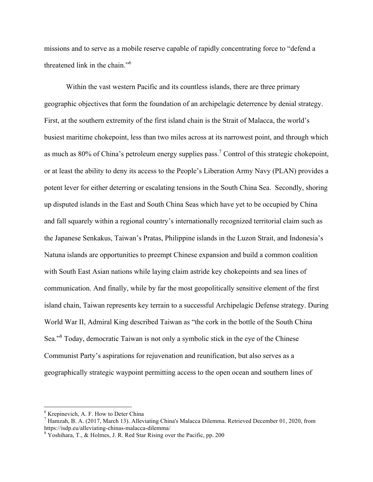missions and to serve as a mobile reserve capable of rapidly concentrating force to "defend a threatened link in the chain."<sup>6</sup>

Within the vast western Pacific and its countless islands, there are three primary geographic objectives that form the foundation of an archipelagic deterrence by denial strategy. First, at the southern extremity of the first island chain is the Strait of Malacca, the world's busiest maritime chokepoint, less than two miles across at its narrowest point, and through which as much as 80% of China's petroleum energy supplies pass.<sup>7</sup> Control of this strategic chokepoint, or at least the ability to deny its access to the People's Liberation Army Navy (PLAN) provides a potent lever for either deterring or escalating tensions in the South China Sea. Secondly, shoring up disputed islands in the East and South China Seas which have yet to be occupied by China and fall squarely within a regional country's internationally recognized territorial claim such as the Japanese Senkakus, Taiwan's Pratas, Philippine islands in the Luzon Strait, and Indonesia's Natuna islands are opportunities to preempt Chinese expansion and build a common coalition with South East Asian nations while laying claim astride key chokepoints and sea lines of communication. And finally, while by far the most geopolitically sensitive element of the first island chain, Taiwan represents key terrain to a successful Archipelagic Defense strategy. During World War II, Admiral King described Taiwan as "the cork in the bottle of the South China Sea."<sup>8</sup> Today, democratic Taiwan is not only a symbolic stick in the eye of the Chinese Communist Party's aspirations for rejuvenation and reunification, but also serves as a geographically strategic waypoint permitting access to the open ocean and southern lines of

<sup>6</sup> Krepinevich, A. F. How to Deter China

<sup>7</sup> Hamzah, B. A. (2017, March 13). Alleviating China's Malacca Dilemma. Retrieved December 01, 2020, from https://isdp.eu/alleviating-chinas-malacca-dilemma/<br><sup>8</sup> Yoshihara, T., & Holmes, J. R. Red Star Rising over the Pacific, pp. 200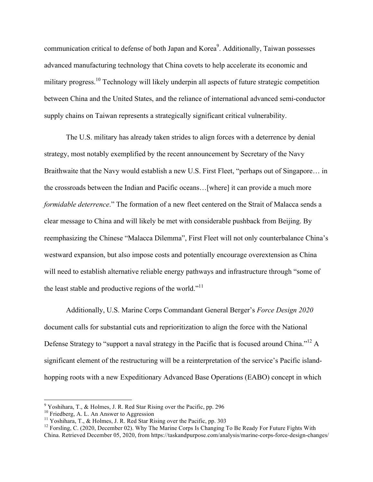communication critical to defense of both Japan and Korea $\degree$ . Additionally, Taiwan possesses advanced manufacturing technology that China covets to help accelerate its economic and military progress.<sup>10</sup> Technology will likely underpin all aspects of future strategic competition between China and the United States, and the reliance of international advanced semi-conductor supply chains on Taiwan represents a strategically significant critical vulnerability.

The U.S. military has already taken strides to align forces with a deterrence by denial strategy, most notably exemplified by the recent announcement by Secretary of the Navy Braithwaite that the Navy would establish a new U.S. First Fleet, "perhaps out of Singapore… in the crossroads between the Indian and Pacific oceans…[where] it can provide a much more *formidable deterrence*." The formation of a new fleet centered on the Strait of Malacca sends a clear message to China and will likely be met with considerable pushback from Beijing. By reemphasizing the Chinese "Malacca Dilemma", First Fleet will not only counterbalance China's westward expansion, but also impose costs and potentially encourage overextension as China will need to establish alternative reliable energy pathways and infrastructure through "some of the least stable and productive regions of the world."<sup>11</sup>

Additionally, U.S. Marine Corps Commandant General Berger's *Force Design 2020*  document calls for substantial cuts and reprioritization to align the force with the National Defense Strategy to "support a naval strategy in the Pacific that is focused around China."<sup>12</sup> A significant element of the restructuring will be a reinterpretation of the service's Pacific islandhopping roots with a new Expeditionary Advanced Base Operations (EABO) concept in which

 $9$  Yoshihara, T., & Holmes, J. R. Red Star Rising over the Pacific, pp. 296

<sup>&</sup>lt;sup>10</sup> Friedberg, A. L. An Answer to Aggression<br><sup>11</sup> Yoshihara, T., & Holmes, J. R. Red Star Rising over the Pacific, pp. 303<br><sup>12</sup> Forsling, C. (2020, December 02). Why The Marine Corps Is Changing To Be Ready For Future Fi China. Retrieved December 05, 2020, from https://taskandpurpose.com/analysis/marine-corps-force-design-changes/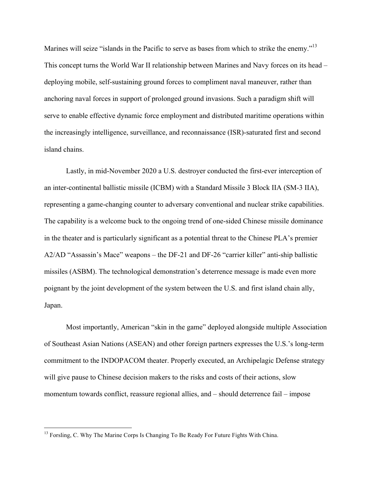Marines will seize "islands in the Pacific to serve as bases from which to strike the enemy."<sup>13</sup> This concept turns the World War II relationship between Marines and Navy forces on its head – deploying mobile, self-sustaining ground forces to compliment naval maneuver, rather than anchoring naval forces in support of prolonged ground invasions. Such a paradigm shift will serve to enable effective dynamic force employment and distributed maritime operations within the increasingly intelligence, surveillance, and reconnaissance (ISR)-saturated first and second island chains.

Lastly, in mid-November 2020 a U.S. destroyer conducted the first-ever interception of an inter-continental ballistic missile (ICBM) with a Standard Missile 3 Block IIA (SM-3 IIA), representing a game-changing counter to adversary conventional and nuclear strike capabilities. The capability is a welcome buck to the ongoing trend of one-sided Chinese missile dominance in the theater and is particularly significant as a potential threat to the Chinese PLA's premier A2/AD "Assassin's Mace" weapons – the DF-21 and DF-26 "carrier killer" anti-ship ballistic missiles (ASBM). The technological demonstration's deterrence message is made even more poignant by the joint development of the system between the U.S. and first island chain ally, Japan.

Most importantly, American "skin in the game" deployed alongside multiple Association of Southeast Asian Nations (ASEAN) and other foreign partners expresses the U.S.'s long-term commitment to the INDOPACOM theater. Properly executed, an Archipelagic Defense strategy will give pause to Chinese decision makers to the risks and costs of their actions, slow momentum towards conflict, reassure regional allies, and – should deterrence fail – impose

<sup>&</sup>lt;sup>13</sup> Forsling, C. Why The Marine Corps Is Changing To Be Ready For Future Fights With China.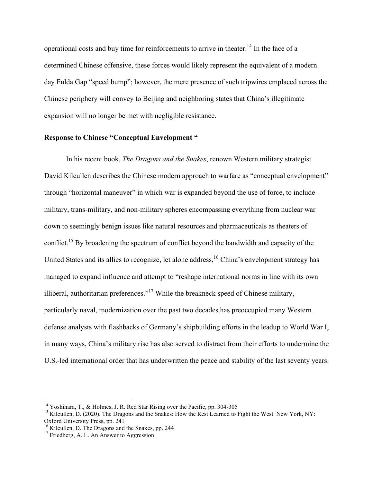operational costs and buy time for reinforcements to arrive in theater.<sup>14</sup> In the face of a determined Chinese offensive, these forces would likely represent the equivalent of a modern day Fulda Gap "speed bump"; however, the mere presence of such tripwires emplaced across the Chinese periphery will convey to Beijing and neighboring states that China's illegitimate expansion will no longer be met with negligible resistance.

#### **Response to Chinese "Conceptual Envelopment "**

In his recent book, *The Dragons and the Snakes*, renown Western military strategist David Kilcullen describes the Chinese modern approach to warfare as "conceptual envelopment" through "horizontal maneuver" in which war is expanded beyond the use of force, to include military, trans-military, and non-military spheres encompassing everything from nuclear war down to seemingly benign issues like natural resources and pharmaceuticals as theaters of conflict.<sup>15</sup> By broadening the spectrum of conflict beyond the bandwidth and capacity of the United States and its allies to recognize, let alone address, <sup>16</sup> China's envelopment strategy has managed to expand influence and attempt to "reshape international norms in line with its own illiberal, authoritarian preferences."<sup>17</sup> While the breakneck speed of Chinese military, particularly naval, modernization over the past two decades has preoccupied many Western defense analysts with flashbacks of Germany's shipbuilding efforts in the leadup to World War I, in many ways, China's military rise has also served to distract from their efforts to undermine the U.S.-led international order that has underwritten the peace and stability of the last seventy years.

<sup>&</sup>lt;sup>14</sup> Yoshihara, T., & Holmes, J. R. Red Star Rising over the Pacific, pp. 304-305<br><sup>15</sup> Kilcullen, D. (2020). The Dragons and the Snakes: How the Rest Learned to Fight the West. New York, NY:<br>Oxford University Press, pp. 2

<sup>&</sup>lt;sup>16</sup> Kilcullen, D. The Dragons and the Snakes, pp. 244 <sup>17</sup> Friedberg, A. L. An Answer to Aggression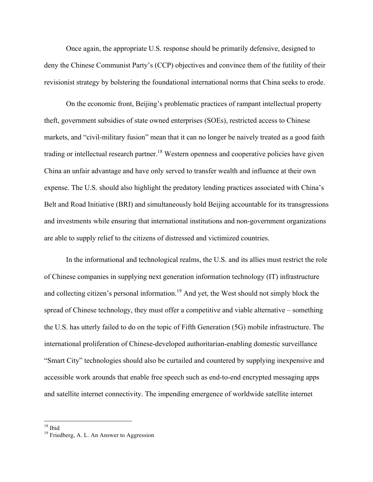Once again, the appropriate U.S. response should be primarily defensive, designed to deny the Chinese Communist Party's (CCP) objectives and convince them of the futility of their revisionist strategy by bolstering the foundational international norms that China seeks to erode.

On the economic front, Beijing's problematic practices of rampant intellectual property theft, government subsidies of state owned enterprises (SOEs), restricted access to Chinese markets, and "civil-military fusion" mean that it can no longer be naively treated as a good faith trading or intellectual research partner.<sup>18</sup> Western openness and cooperative policies have given China an unfair advantage and have only served to transfer wealth and influence at their own expense. The U.S. should also highlight the predatory lending practices associated with China's Belt and Road Initiative (BRI) and simultaneously hold Beijing accountable for its transgressions and investments while ensuring that international institutions and non-government organizations are able to supply relief to the citizens of distressed and victimized countries.

In the informational and technological realms, the U.S. and its allies must restrict the role of Chinese companies in supplying next generation information technology (IT) infrastructure and collecting citizen's personal information.<sup>19</sup> And yet, the West should not simply block the spread of Chinese technology, they must offer a competitive and viable alternative – something the U.S. has utterly failed to do on the topic of Fifth Generation (5G) mobile infrastructure. The international proliferation of Chinese-developed authoritarian-enabling domestic surveillance "Smart City" technologies should also be curtailed and countered by supplying inexpensive and accessible work arounds that enable free speech such as end-to-end encrypted messaging apps and satellite internet connectivity. The impending emergence of worldwide satellite internet

 

<sup>&</sup>lt;sup>18</sup> Ibid<br><sup>19</sup> Friedberg, A. L. An Answer to Aggression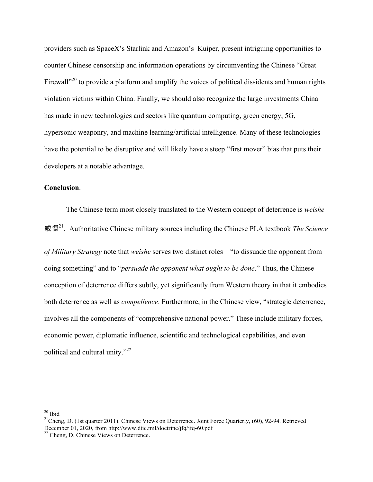providers such as SpaceX's Starlink and Amazon's Kuiper, present intriguing opportunities to counter Chinese censorship and information operations by circumventing the Chinese "Great Firewall<sup> $20$ </sup> to provide a platform and amplify the voices of political dissidents and human rights violation victims within China. Finally, we should also recognize the large investments China has made in new technologies and sectors like quantum computing, green energy, 5G, hypersonic weaponry, and machine learning/artificial intelligence. Many of these technologies have the potential to be disruptive and will likely have a steep "first mover" bias that puts their developers at a notable advantage.

#### **Conclusion**.

The Chinese term most closely translated to the Western concept of deterrence is *weishe* 21. Authoritative Chinese military sources including the Chinese PLA textbook *The Science* 

*of Military Strategy* note that *weishe* serves two distinct roles – "to dissuade the opponent from doing something" and to "*persuade the opponent what ought to be done*." Thus, the Chinese conception of deterrence differs subtly, yet significantly from Western theory in that it embodies both deterrence as well as *compellence*. Furthermore, in the Chinese view, "strategic deterrence, involves all the components of "comprehensive national power." These include military forces, economic power, diplomatic influence, scientific and technological capabilities, and even political and cultural unity."22

<sup>&</sup>lt;sup>20</sup> Ibid<br><sup>21</sup>Cheng, D. (1st quarter 2011). Chinese Views on Deterrence. Joint Force Quarterly, (60), 92-94. Retrieved December 01, 2020, from http://www.dtic.mil/doctrine/jfq/jfq-60.pdf<sup>22</sup> Cheng, D. Chinese Views on Deterrence.